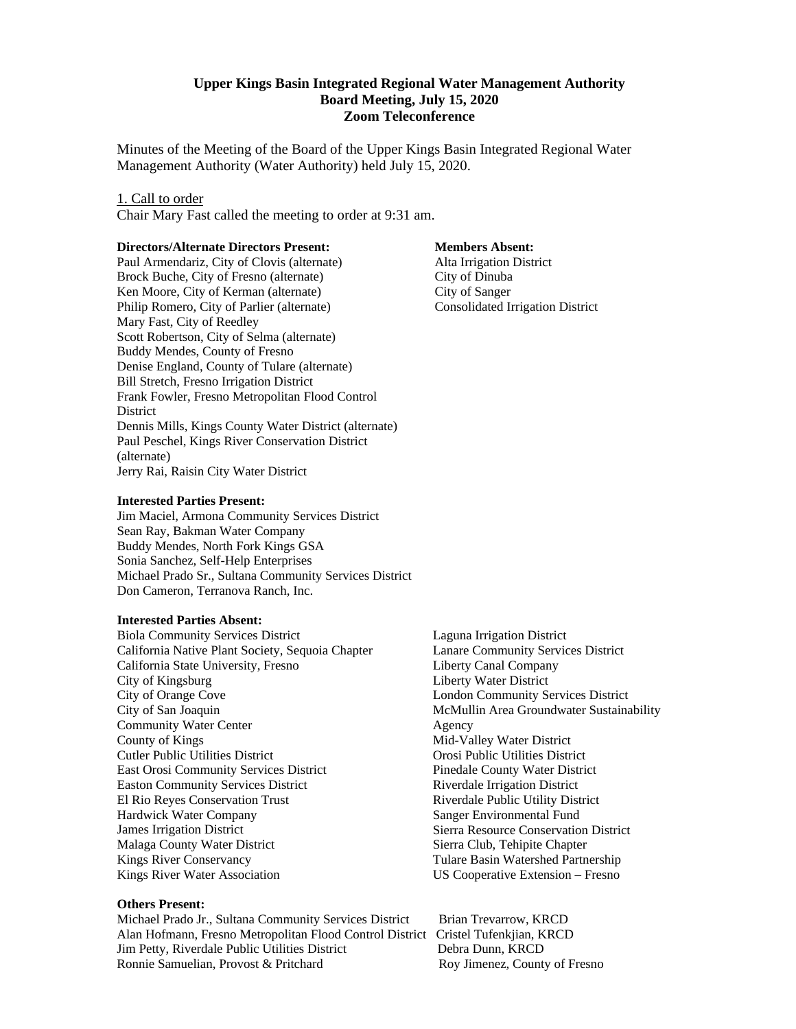#### **Upper Kings Basin Integrated Regional Water Management Authority Board Meeting, July 15, 2020 Zoom Teleconference**

Minutes of the Meeting of the Board of the Upper Kings Basin Integrated Regional Water Management Authority (Water Authority) held July 15, 2020.

#### 1. Call to order

Chair Mary Fast called the meeting to order at 9:31 am.

#### **Directors/Alternate Directors Present:**

Paul Armendariz, City of Clovis (alternate) Brock Buche, City of Fresno (alternate) Ken Moore, City of Kerman (alternate) Philip Romero, City of Parlier (alternate) Mary Fast, City of Reedley Scott Robertson, City of Selma (alternate) Buddy Mendes, County of Fresno Denise England, County of Tulare (alternate) Bill Stretch, Fresno Irrigation District Frank Fowler, Fresno Metropolitan Flood Control District Dennis Mills, Kings County Water District (alternate) Paul Peschel, Kings River Conservation District (alternate) Jerry Rai, Raisin City Water District

#### **Interested Parties Present:**

Jim Maciel, Armona Community Services District Sean Ray, Bakman Water Company Buddy Mendes, North Fork Kings GSA Sonia Sanchez, Self-Help Enterprises Michael Prado Sr., Sultana Community Services District Don Cameron, Terranova Ranch, Inc.

#### **Interested Parties Absent:**

Biola Community Services District California Native Plant Society, Sequoia Chapter California State University, Fresno City of Kingsburg City of Orange Cove City of San Joaquin Community Water Center County of Kings Cutler Public Utilities District East Orosi Community Services District Easton Community Services District El Rio Reyes Conservation Trust Hardwick Water Company James Irrigation District Malaga County Water District Kings River Conservancy Kings River Water Association

#### **Others Present:**

Michael Prado Jr., Sultana Community Services District Brian Trevarrow, KRCD Alan Hofmann, Fresno Metropolitan Flood Control District Cristel Tufenkjian, KRCD Jim Petty, Riverdale Public Utilities District Debra Dunn, KRCD Ronnie Samuelian, Provost & Pritchard

#### **Members Absent:**

 Alta Irrigation District City of Dinuba City of Sanger Consolidated Irrigation District

Laguna Irrigation District Lanare Community Services District Liberty Canal Company Liberty Water District London Community Services District McMullin Area Groundwater Sustainability Agency Mid-Valley Water District Orosi Public Utilities District Pinedale County Water District Riverdale Irrigation District Riverdale Public Utility District Sanger Environmental Fund Sierra Resource Conservation District Sierra Club, Tehipite Chapter Tulare Basin Watershed Partnership US Cooperative Extension – Fresno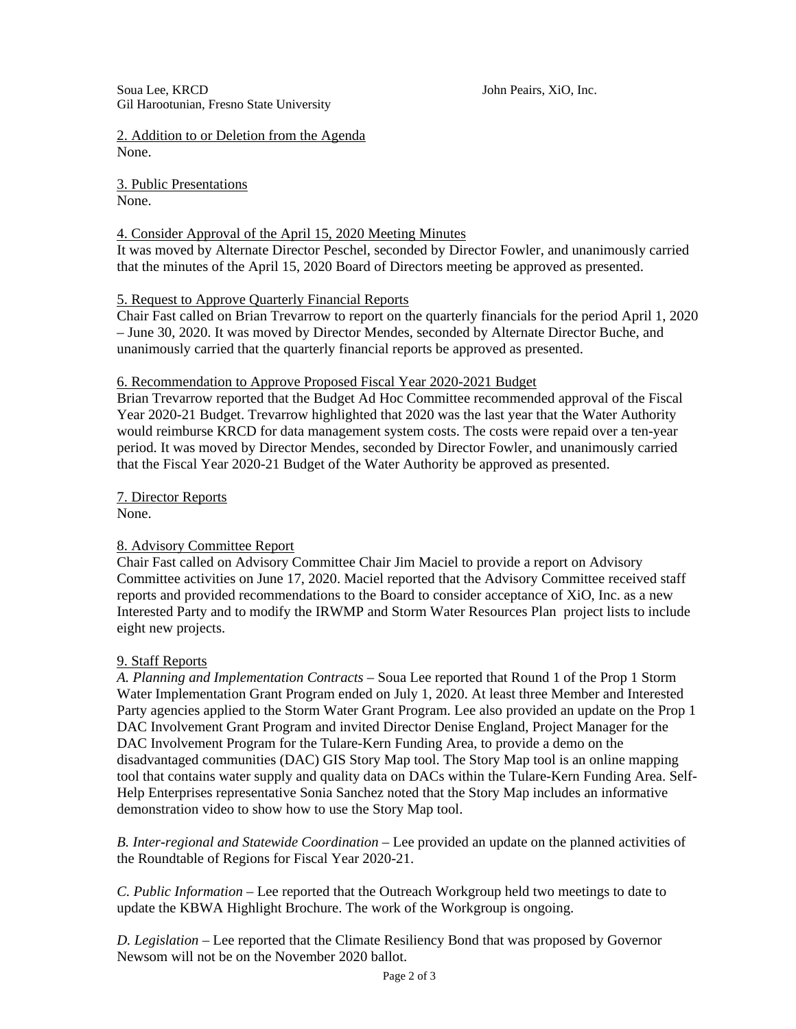Soua Lee, KRCD John Peairs, XiO, Inc. Gil Harootunian, Fresno State University

2. Addition to or Deletion from the Agenda None.

3. Public Presentations None.

# 4. Consider Approval of the April 15, 2020 Meeting Minutes

It was moved by Alternate Director Peschel, seconded by Director Fowler, and unanimously carried that the minutes of the April 15, 2020 Board of Directors meeting be approved as presented.

# 5. Request to Approve Quarterly Financial Reports

Chair Fast called on Brian Trevarrow to report on the quarterly financials for the period April 1, 2020 – June 30, 2020. It was moved by Director Mendes, seconded by Alternate Director Buche, and unanimously carried that the quarterly financial reports be approved as presented.

# 6. Recommendation to Approve Proposed Fiscal Year 2020-2021 Budget

Brian Trevarrow reported that the Budget Ad Hoc Committee recommended approval of the Fiscal Year 2020-21 Budget. Trevarrow highlighted that 2020 was the last year that the Water Authority would reimburse KRCD for data management system costs. The costs were repaid over a ten-year period. It was moved by Director Mendes, seconded by Director Fowler, and unanimously carried that the Fiscal Year 2020-21 Budget of the Water Authority be approved as presented.

7. Director Reports

None.

# 8. Advisory Committee Report

Chair Fast called on Advisory Committee Chair Jim Maciel to provide a report on Advisory Committee activities on June 17, 2020. Maciel reported that the Advisory Committee received staff reports and provided recommendations to the Board to consider acceptance of XiO, Inc. as a new Interested Party and to modify the IRWMP and Storm Water Resources Plan project lists to include eight new projects.

# 9. Staff Reports

*A. Planning and Implementation Contracts* – Soua Lee reported that Round 1 of the Prop 1 Storm Water Implementation Grant Program ended on July 1, 2020. At least three Member and Interested Party agencies applied to the Storm Water Grant Program. Lee also provided an update on the Prop 1 DAC Involvement Grant Program and invited Director Denise England, Project Manager for the DAC Involvement Program for the Tulare-Kern Funding Area, to provide a demo on the disadvantaged communities (DAC) GIS Story Map tool. The Story Map tool is an online mapping tool that contains water supply and quality data on DACs within the Tulare-Kern Funding Area. Self-Help Enterprises representative Sonia Sanchez noted that the Story Map includes an informative demonstration video to show how to use the Story Map tool.

*B. Inter-regional and Statewide Coordination* – Lee provided an update on the planned activities of the Roundtable of Regions for Fiscal Year 2020-21.

*C. Public Information –* Lee reported that the Outreach Workgroup held two meetings to date to update the KBWA Highlight Brochure. The work of the Workgroup is ongoing.

*D. Legislation –* Lee reported that the Climate Resiliency Bond that was proposed by Governor Newsom will not be on the November 2020 ballot.